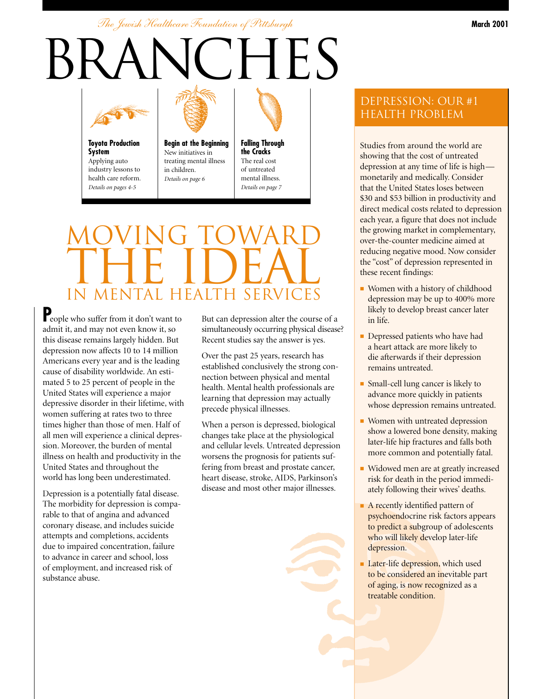*The Jewish Healthcare Foundation of Pittsburgh*

# BRANCHES



**Toyota Production System** Applying auto industry lessons to health care reform. *Details on pages 4-5*



**Begin at the Beginning** New initiatives in treating mental illness in children. *Details on page 6*



## MOVING TOWARD THE IDEAL IN MENTAL HEALTH SERV

**P**eople who suffer from it don't want to admit it, and may not even know it, so this disease remains largely hidden. But depression now affects 10 to 14 million Americans every year and is the leading cause of disability worldwide. An estimated 5 to 25 percent of people in the United States will experience a major depressive disorder in their lifetime, with women suffering at rates two to three times higher than those of men. Half of all men will experience a clinical depression. Moreover, the burden of mental illness on health and productivity in the United States and throughout the world has long been underestimated.

Depression is a potentially fatal disease. The morbidity for depression is comparable to that of angina and advanced coronary disease, and includes suicide attempts and completions, accidents due to impaired concentration, failure to advance in career and school, loss of employment, and increased risk of substance abuse.

But can depression alter the course of a simultaneously occurring physical disease? Recent studies say the answer is yes.

Over the past 25 years, research has established conclusively the strong connection between physical and mental health. Mental health professionals are learning that depression may actually precede physical illnesses.

When a person is depressed, biological changes take place at the physiological and cellular levels. Untreated depression worsens the prognosis for patients suffering from breast and prostate cancer, heart disease, stroke, AIDS, Parkinson's disease and most other major illnesses.

#### Depression: our #1 health problem

Studies from around the world are showing that the cost of untreated depression at any time of life is high monetarily and medically. Consider that the United States loses between \$30 and \$53 billion in productivity and direct medical costs related to depression each year, a figure that does not include the growing market in complementary, over-the-counter medicine aimed at reducing negative mood. Now consider the "cost" of depression represented in these recent findings:

- Women with a history of childhood depression may be up to 400% more likely to develop breast cancer later in life.
- Depressed patients who have had a heart attack are more likely to die afterwards if their depression remains untreated.
- Small-cell lung cancer is likely to advance more quickly in patients whose depression remains untreated.
- Women with untreated depression show a lowered bone density, making later-life hip fractures and falls both more common and potentially fatal.
- Widowed men are at greatly increased risk for death in the period immediately following their wives' deaths.
- A recently identified pattern of psychoendocrine risk factors appears to predict a subgroup of adolescents who will likely develop later-life depression.
- Later-life depression, which used to be considered an inevitable part of aging, is now recognized as a treatable condition.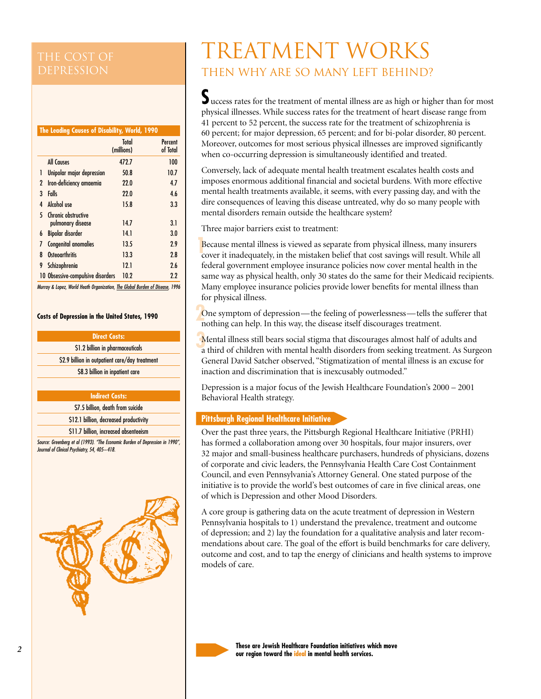#### **The Leading Causes of Disability, World, 1990**

|   |                                          | Total<br>(millions) | Percent<br>of Total |
|---|------------------------------------------|---------------------|---------------------|
|   | All Causes                               | 472.7               | 100                 |
| 1 | Unipolar major depression                | 50.8                | 10.7                |
| 2 | Iron-deficiency amaemia                  | 22.0                | 4.7                 |
| 3 | Falls                                    | 22.0                | 4.6                 |
| 4 | <b>Alcohol</b> use                       | 15.8                | 3.3                 |
| 5 | Chronic obstructive<br>pulmonary disease | 14.7                | 3.1                 |
| 6 | <b>Bipolar disorder</b>                  | 14.1                | 3.0                 |
| 7 | Congenital anomalies                     | 13.5                | 2.9                 |
| 8 | <b>Osteoarthritis</b>                    | 13.3                | 2.8                 |
| 9 | Schizophrenia                            | 12.1                | 2.6                 |
|   | 10 Obsessive-compulsive disorders        | 10.2                | 2.2                 |

*Murray & Lopez, World Heath Organization, The Global Burden of Disease, 1996*

#### **Costs of Depression in the United States, 1990**

#### **Direct Costs:**

\$1.2 billion in pharmaceuticals

\$2.9 billion in outpatient care/day treatment \$8.3 billion in inpatient care

#### **Indirect Costs:**

\$7.5 billion, death from suicide

\$12.1 billion, decreased productivity

\$11.7 billion, increased absenteeism

*Source: Greenberg et al (1993). "The Economic Burden of Depression in 1990", Journal of Clinical Psychiatry, 54, 405–418.*



### TREATMENT WORKS Then why are so many left behind?

Success rates for the treatment of mental illness are as high or higher than for most physical illnesses. While success rates for the treatment of heart disease range from 41 percent to 52 percent, the success rate for the treatment of schizophrenia is 60 percent; for major depression, 65 percent; and for bi-polar disorder, 80 percent. Moreover, outcomes for most serious physical illnesses are improved significantly when co-occurring depression is simultaneously identified and treated.

Conversely, lack of adequate mental health treatment escalates health costs and imposes enormous additional financial and societal burdens. With more effective mental health treatments available, it seems, with every passing day, and with the dire consequences of leaving this disease untreated, why do so many people with mental disorders remain outside the healthcare system?

Three major barriers exist to treatment:

**Because mental illness is viewed as separate from physical illness, many insurers** cover it inadequately, in the mistaken belief that cost savings will result. While all cover it inadequately, in the mistaken belief that cost savings will result. While all federal government employee insurance policies now cover mental health in the same way as physical health, only 30 states do the same for their Medicaid recipients. Many employee insurance policies provide lower benefits for mental illness than for physical illness.

One symptom of depression—the feeling of powerlessness—tells the sufferer that nothing can help. In this way, the disease itself discourages treatment nothing can help. In this way, the disease itself discourages treatment.

**Mental illness still bears social stigma that discourages almost half of adults and a third of children with mental health disorders from seeking treatment. As Surg** a third of children with mental health disorders from seeking treatment. As Surgeon General David Satcher observed, "Stigmatization of mental illness is an excuse for inaction and discrimination that is inexcusably outmoded."

Depression is a major focus of the Jewish Healthcare Foundation's 2000 – 2001 Behavioral Health strategy.

#### **Pittsburgh Regional Healthcare Initiative**

Over the past three years, the Pittsburgh Regional Healthcare Initiative (PRHI) has formed a collaboration among over 30 hospitals, four major insurers, over 32 major and small-business healthcare purchasers, hundreds of physicians, dozens of corporate and civic leaders, the Pennsylvania Health Care Cost Containment Council, and even Pennsylvania's Attorney General. One stated purpose of the initiative is to provide the world's best outcomes of care in five clinical areas, one of which is Depression and other Mood Disorders.

A core group is gathering data on the acute treatment of depression in Western Pennsylvania hospitals to 1) understand the prevalence, treatment and outcome of depression; and 2) lay the foundation for a qualitative analysis and later recommendations about care. The goal of the effort is build benchmarks for care delivery, outcome and cost, and to tap the energy of clinicians and health systems to improve models of care.



**These are Jewish Healthcare Foundation initiatives which move our region toward the ideal in mental health services.**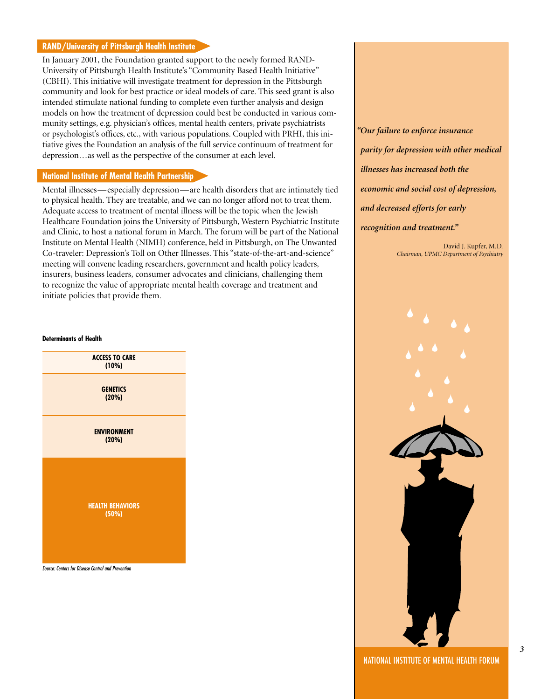#### **RAND/University of Pittsburgh Health Institute**

In January 2001, the Foundation granted support to the newly formed RAND-University of Pittsburgh Health Institute's "Community Based Health Initiative" (CBHI). This initiative will investigate treatment for depression in the Pittsburgh community and look for best practice or ideal models of care. This seed grant is also intended stimulate national funding to complete even further analysis and design models on how the treatment of depression could best be conducted in various community settings, e.g. physician's offices, mental health centers, private psychiatrists or psychologist's offices, etc., with various populations. Coupled with PRHI, this initiative gives the Foundation an analysis of the full service continuum of treatment for depression…as well as the perspective of the consumer at each level.

#### **National Institute of Mental Health Partnership**

Mental illnesses—especially depression—are health disorders that are intimately tied to physical health. They are treatable, and we can no longer afford not to treat them. Adequate access to treatment of mental illness will be the topic when the Jewish Healthcare Foundation joins the University of Pittsburgh, Western Psychiatric Institute and Clinic, to host a national forum in March. The forum will be part of the National Institute on Mental Health (NIMH) conference, held in Pittsburgh, on The Unwanted Co-traveler: Depression's Toll on Other Illnesses. This "state-of-the-art-and-science" meeting will convene leading researchers, government and health policy leaders, insurers, business leaders, consumer advocates and clinicians, challenging them to recognize the value of appropriate mental health coverage and treatment and initiate policies that provide them.

*"Our failure to enforce insurance parity for depression with other medical illnesses has increased both the economic and social cost of depression, and decreased efforts for early recognition and treatment."*

> David J. Kupfer, M.D. *Chairman, UPMC Department of Psychiatry*

#### **Determinants of Health**





*3*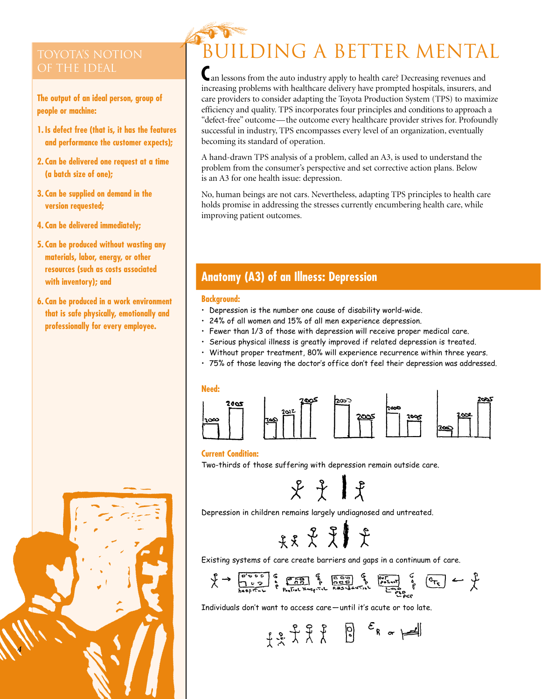**The output of an ideal person, group of people or machine:**

- **1. Is defect free (that is, it has the features and performance the customer expects);**
- **2. Can be delivered one request at a time (a batch size of one);**
- **3. Can be supplied on demand in the version requested;**
- **4. Can be delivered immediately;**
- **5. Can be produced without wasting any materials, labor, energy, or other resources (such as costs associated with inventory); and**
- **6. Can be produced in a work environment that is safe physically, emotionally and professionally for every employee.**



# BUILDING A BETTER MENTAL

**C**an lessons from the auto industry apply to health care? Decreasing revenues and increasing problems with healthcare delivery have prompted hospitals, insurers, and care providers to consider adapting the Toyota Production System (TPS) to maximize efficiency and quality. TPS incorporates four principles and conditions to approach a "defect-free" outcome—the outcome every healthcare provider strives for. Profoundly successful in industry, TPS encompasses every level of an organization, eventually becoming its standard of operation.

A hand-drawn TPS analysis of a problem, called an A3, is used to understand the problem from the consumer's perspective and set corrective action plans. Below is an A3 for one health issue: depression.

No, human beings are not cars. Nevertheless, adapting TPS principles to health care holds promise in addressing the stresses currently encumbering health care, while improving patient outcomes.

### **Anatomy (A3) of an Illness: Depression**

#### **Background:**

- Depression is the number one cause of disability world-wide.
- 24% of all women and 15% of all men experience depression.
- Fewer than 1/3 of those with depression will receive proper medical care.
- Serious physical illness is greatly improved if related depression is treated.
- Without proper treatment, 80% will experience recurrence within three years.
- 75% of those leaving the doctor's office don't feel their depression was addressed.





#### **Current Condition:**

Two-thirds of those suffering with depression remain outside care.

 $x + 1$ 

Depression in children remains largely undiagnosed and untreated.

投史別史

Existing systems of care create barriers and gaps in a continuum of care.

Individuals don't want to access care—until it's acute or too late.

$$
\begin{array}{ccc}\n \uparrow & \uparrow & \uparrow & \uparrow & \\
\uparrow & \downarrow & \uparrow & \uparrow & \uparrow & \\
\downarrow & \downarrow & \uparrow & \uparrow & \uparrow & \\
\end{array}
$$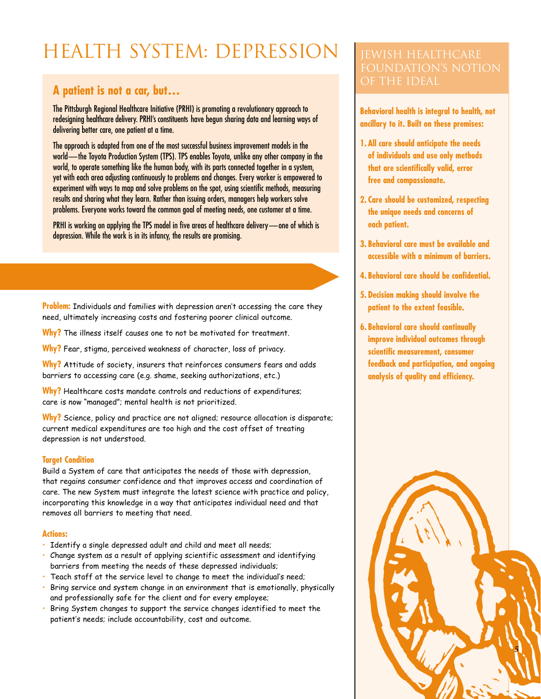### HEALTH SYSTEM: DEPRESSION

### **A patient is not a car, but…**

The Pittsburgh Regional Healthcare Initiative (PRHI) is promoting a revolutionary approach to redesigning healthcare delivery. PRHI's constituents have begun sharing data and learning ways of delivering better care, one patient at a time.

The approach is adapted from one of the most successful business improvement models in the world-the Toyota Production System (TPS). TPS enables Toyota, unlike any other company in the world, to operate something like the human body, with its parts connected together in a system, yet with each area adjusting continuously to problems and changes. Every worker is empowered to experiment with ways to map and solve problems on the spot, using scientific methods, measuring results and sharing what they learn. Rather than issuing orders, managers help workers solve problems. Everyone works toward the common goal of meeting needs, one customer at a time.

PRHI is working on applying the TPS model in five areas of healthcare delivery—one of which is depression. While the work is in its infancy, the results are promising.

**Problem:** Individuals and families with depression aren't accessing the care they need, ultimately increasing costs and fostering poorer clinical outcome.

**Why?** The illness itself causes one to not be motivated for treatment.

**Why?** Fear, stigma, perceived weakness of character, loss of privacy.

**Why?** Attitude of society, insurers that reinforces consumers fears and adds barriers to accessing care (e.g. shame, seeking authorizations, etc.)

**Why?** Healthcare costs mandate controls and reductions of expenditures; care is now "managed"; mental health is not prioritized.

**Why?** Science, policy and practice are not aligned; resource allocation is disparate; current medical expenditures are too high and the cost offset of treating depression is not understood.

#### **Target Condition**

Build a System of care that anticipates the needs of those with depression, that regains consumer confidence and that improves access and coordination of care. The new System must integrate the latest science with practice and policy, incorporating this knowledge in a way that anticipates individual need and that removes all barriers to meeting that need.

#### **Actions:**

- Identify a single depressed adult and child and meet all needs;
- Change system as a result of applying scientific assessment and identifying barriers from meeting the needs of these depressed individuals;
- Teach staff at the service level to change to meet the individual's need;
- Bring service and system change in an environment that is emotionally, physically and professionally safe for the client and for every employee;
- Bring System changes to support the service changes identified to meet the patient's needs; include accountability, cost and outcome.

# of the ideal

**Behavioral health is integral to health, not ancillary to it. Built on these premises:**

- **1. All care should anticipate the needs of individuals and use only methods that are scientifically valid, error free and compassionate.**
- **2. Care should be customized, respecting the unique needs and concerns of each patient.**
- **3. Behavioral care must be available and accessible with a minimum of barriers.**
- **4. Behavioral care should be confidential.**
- **5. Decision making should involve the patient to the extent feasible.**
- **6. Behavioral care should continually improve individual outcomes through scientific measurement, consumer feedback and participation, and ongoing analysis of quality and efficiency.**

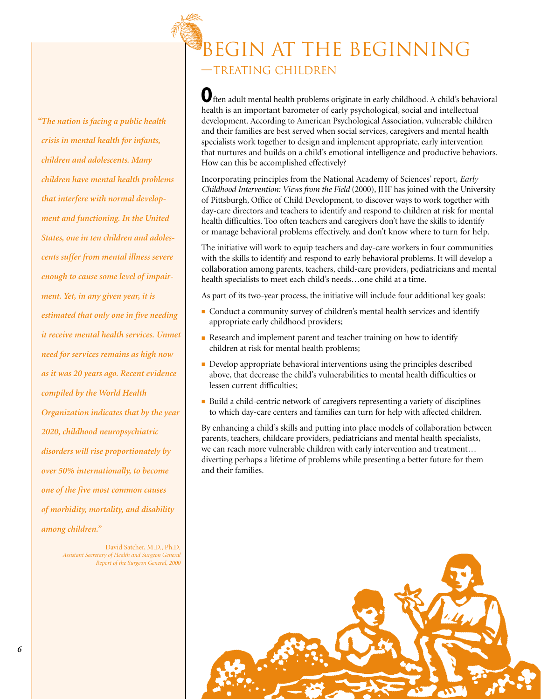*"The nation is facing a public health crisis in mental health for infants, children and adolescents. Many children have mental health problems that interfere with normal development and functioning. In the United States, one in ten children and adolescents suffer from mental illness severe enough to cause some level of impairment. Yet, in any given year, it is estimated that only one in five needing it receive mental health services. Unmet need for services remains as high now as it was 20 years ago. Recent evidence compiled by the World Health Organization indicates that by the year 2020, childhood neuropsychiatric disorders will rise proportionately by over 50% internationally, to become one of the five most common causes of morbidity, mortality, and disability among children."*

> David Satcher, M.D., Ph.D. *Assistant Secretary of Health and Surgeon General Report of the Surgeon General, 2000*

### Begin at the Beginning

—Treating Children

**O**ften adult mental health problems originate in early childhood. A child's behavioral health is an important barometer of early psychological, social and intellectual development. According to American Psychological Association, vulnerable children and their families are best served when social services, caregivers and mental health specialists work together to design and implement appropriate, early intervention that nurtures and builds on a child's emotional intelligence and productive behaviors. How can this be accomplished effectively?

Incorporating principles from the National Academy of Sciences' report, *Early Childhood Intervention: Views from the Field* (2000), JHF has joined with the University of Pittsburgh, Office of Child Development, to discover ways to work together with day-care directors and teachers to identify and respond to children at risk for mental health difficulties. Too often teachers and caregivers don't have the skills to identify or manage behavioral problems effectively, and don't know where to turn for help.

The initiative will work to equip teachers and day-care workers in four communities with the skills to identify and respond to early behavioral problems. It will develop a collaboration among parents, teachers, child-care providers, pediatricians and mental health specialists to meet each child's needs…one child at a time.

As part of its two-year process, the initiative will include four additional key goals:

- Conduct a community survey of children's mental health services and identify appropriate early childhood providers;
- Research and implement parent and teacher training on how to identify children at risk for mental health problems;
- Develop appropriate behavioral interventions using the principles described above, that decrease the child's vulnerabilities to mental health difficulties or lessen current difficulties;
- Build a child-centric network of caregivers representing a variety of disciplines to which day-care centers and families can turn for help with affected children.

By enhancing a child's skills and putting into place models of collaboration between parents, teachers, childcare providers, pediatricians and mental health specialists, we can reach more vulnerable children with early intervention and treatment… diverting perhaps a lifetime of problems while presenting a better future for them and their families.

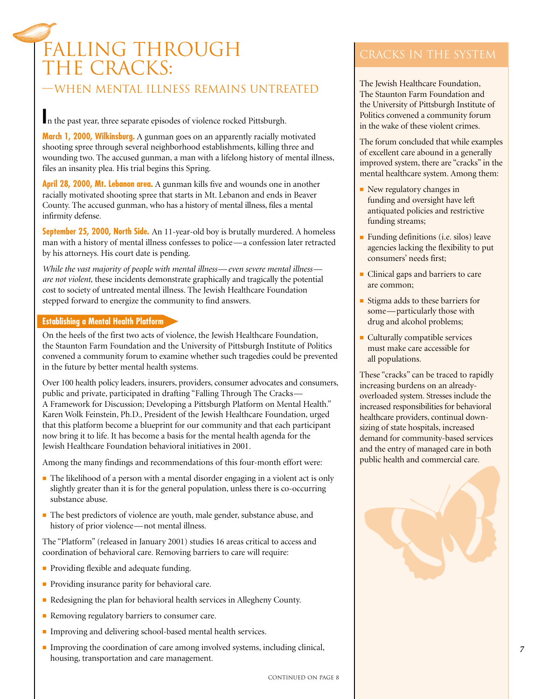### Falling through THE CRACKS:

#### —When mental illness remains untreated

**I**n the past year, three separate episodes of violence rocked Pittsburgh.

**March 1, 2000, Wilkinsburg.** A gunman goes on an apparently racially motivated shooting spree through several neighborhood establishments, killing three and wounding two. The accused gunman, a man with a lifelong history of mental illness, files an insanity plea. His trial begins this Spring.

**April 28, 2000, Mt. Lebanon area.** A gunman kills five and wounds one in another racially motivated shooting spree that starts in Mt. Lebanon and ends in Beaver County. The accused gunman, who has a history of mental illness, files a mental infirmity defense.

**September 25, 2000, North Side.** An 11-year-old boy is brutally murdered. A homeless man with a history of mental illness confesses to police—a confession later retracted by his attorneys. His court date is pending.

*While the vast majority of people with mental illness— even severe mental illness are not violent,* these incidents demonstrate graphically and tragically the potential cost to society of untreated mental illness. The Jewish Healthcare Foundation stepped forward to energize the community to find answers.

#### **Establishing a Mental Health Platform**

On the heels of the first two acts of violence, the Jewish Healthcare Foundation, the Staunton Farm Foundation and the University of Pittsburgh Institute of Politics convened a community forum to examine whether such tragedies could be prevented in the future by better mental health systems.

Over 100 health policy leaders, insurers, providers, consumer advocates and consumers, public and private, participated in drafting "Falling Through The Cracks— A Framework for Discussion; Developing a Pittsburgh Platform on Mental Health." Karen Wolk Feinstein, Ph.D., President of the Jewish Healthcare Foundation, urged that this platform become a blueprint for our community and that each participant now bring it to life. It has become a basis for the mental health agenda for the Jewish Healthcare Foundation behavioral initiatives in 2001.

Among the many findings and recommendations of this four-month effort were:

- The likelihood of a person with a mental disorder engaging in a violent act is only slightly greater than it is for the general population, unless there is co-occurring substance abuse.
- The best predictors of violence are youth, male gender, substance abuse, and history of prior violence—not mental illness.

The "Platform" (released in January 2001) studies 16 areas critical to access and coordination of behavioral care. Removing barriers to care will require:

- Providing flexible and adequate funding.
- Providing insurance parity for behavioral care.
- Redesigning the plan for behavioral health services in Allegheny County.
- Removing regulatory barriers to consumer care.
- Improving and delivering school-based mental health services.
- Improving the coordination of care among involved systems, including clinical, housing, transportation and care management.

The Jewish Healthcare Foundation, The Staunton Farm Foundation and the University of Pittsburgh Institute of Politics convened a community forum in the wake of these violent crimes.

The forum concluded that while examples of excellent care abound in a generally improved system, there are "cracks" in the mental healthcare system. Among them:

- New regulatory changes in funding and oversight have left antiquated policies and restrictive funding streams;
- Funding definitions (i.e. silos) leave agencies lacking the flexibility to put consumers' needs first;
- Clinical gaps and barriers to care are common;
- Stigma adds to these barriers for some—particularly those with drug and alcohol problems;
- Culturally compatible services must make care accessible for all populations.

These "cracks" can be traced to rapidly increasing burdens on an alreadyoverloaded system. Stresses include the increased responsibilities for behavioral healthcare providers, continual downsizing of state hospitals, increased demand for community-based services and the entry of managed care in both public health and commercial care.